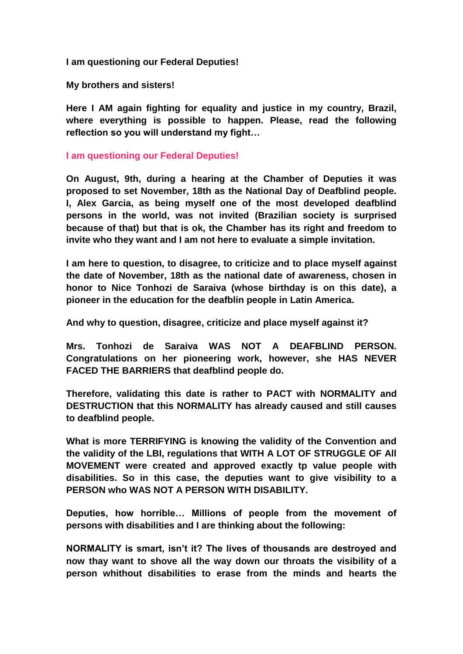**I am questioning our Federal Deputies!**

**My brothers and sisters!**

**Here I AM again fighting for equality and justice in my country, Brazil, where everything is possible to happen. Please, read the following reflection so you will understand my fight…**

**I am questioning our Federal Deputies!**

**On August, 9th, during a hearing at the Chamber of Deputies it was proposed to set November, 18th as the National Day of Deafblind people. I, Alex Garcia, as being myself one of the most developed deafblind persons in the world, was not invited (Brazilian society is surprised because of that) but that is ok, the Chamber has its right and freedom to invite who they want and I am not here to evaluate a simple invitation.**

**I am here to question, to disagree, to criticize and to place myself against the date of November, 18th as the national date of awareness, chosen in honor to Nice Tonhozi de Saraiva (whose birthday is on this date), a pioneer in the education for the deafblin people in Latin America.**

**And why to question, disagree, criticize and place myself against it?**

**Mrs. Tonhozi de Saraiva WAS NOT A DEAFBLIND PERSON. Congratulations on her pioneering work, however, she HAS NEVER FACED THE BARRIERS that deafblind people do.**

**Therefore, validating this date is rather to PACT with NORMALITY and DESTRUCTION that this NORMALITY has already caused and still causes to deafblind people.**

**What is more TERRIFYING is knowing the validity of the Convention and the validity of the LBI, regulations that WITH A LOT OF STRUGGLE OF All MOVEMENT were created and approved exactly tp value people with disabilities. So in this case, the deputies want to give visibility to a PERSON who WAS NOT A PERSON WITH DISABILITY.**

**Deputies, how horrible… Millions of people from the movement of persons with disabilities and I are thinking about the following:**

**NORMALITY is smart, isn't it? The lives of thousands are destroyed and now thay want to shove all the way down our throats the visibility of a person whithout disabilities to erase from the minds and hearts the**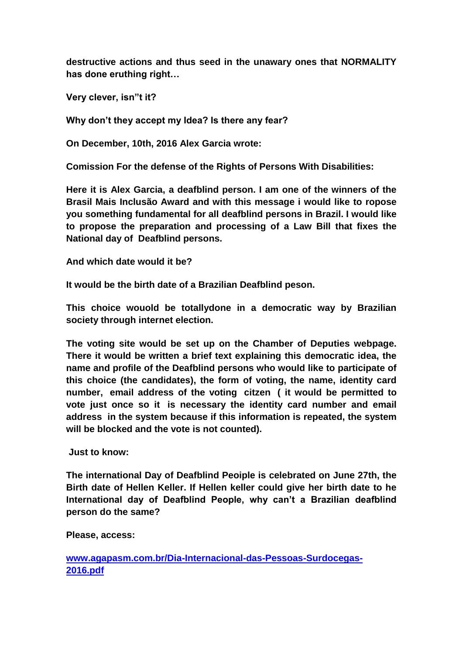**destructive actions and thus seed in the unawary ones that NORMALITY has done eruthing right…**

**Very clever, isn"t it?**

**Why don't they accept my Idea? Is there any fear?**

**On December, 10th, 2016 Alex Garcia wrote:**

**Comission For the defense of the Rights of Persons With Disabilities:**

**Here it is Alex Garcia, a deafblind person. I am one of the winners of the Brasil Mais Inclusão Award and with this message i would like to ropose you something fundamental for all deafblind persons in Brazil. I would like to propose the preparation and processing of a Law Bill that fixes the National day of Deafblind persons.**

**And which date would it be?**

**It would be the birth date of a Brazilian Deafblind peson.**

**This choice wouold be totallydone in a democratic way by Brazilian society through internet election.**

**The voting site would be set up on the Chamber of Deputies webpage. There it would be written a brief text explaining this democratic idea, the name and profile of the Deafblind persons who would like to participate of this choice (the candidates), the form of voting, the name, identity card number, email address of the voting citzen ( it would be permitted to vote just once so it is necessary the identity card number and email address in the system because if this information is repeated, the system will be blocked and the vote is not counted).**

**Just to know:**

**The international Day of Deafblind Peoiple is celebrated on June 27th, the Birth date of Hellen Keller. If Hellen keller could give her birth date to he International day of Deafblind People, why can't a Brazilian deafblind person do the same?**

**Please, access:**

**[www.agapasm.com.br/Dia-Internacional-das-Pessoas-Surdocegas-](http://www.agapasm.com.br/Dia-Internacional-das-Pessoas-Surdocegas-2016.pdf)[2016.pdf](http://www.agapasm.com.br/Dia-Internacional-das-Pessoas-Surdocegas-2016.pdf)**